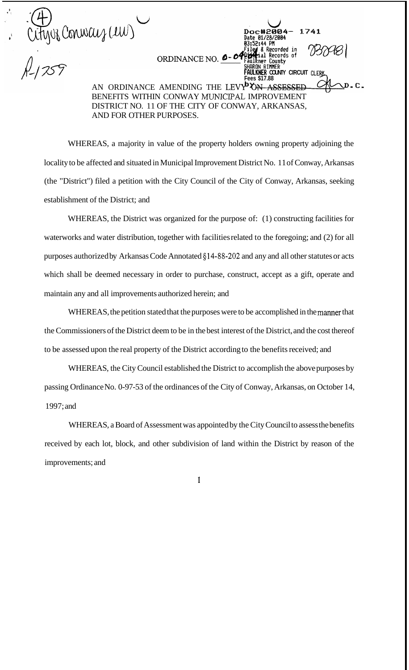(4)<br>Cityuz Conway (ew)

ORDINANCE NO. 0-04<sup>06</sup>

AN ORDINANCE AMENDING THE LEVY<sup>B</sup>ON ASSESSED BENEFITS WITHIN CONWAY MUNICPAL IMPROVEMENT DISTRICT NO. 11 OF THE CITY OF CONWAY, ARKANSAS, AND FOR OTHER PURPOSES.

**FAULKHER COUNTY CIRCUIT CLE** 

Recorded in Records of<br>County

**Fees \$17.88** 

WHEREAS, a majority in value of the property holders owning property adjoining the locality to be affected and situated in Municipal Improvement District No. 1 1 of Conway, Arkansas (the "District") filed a petition with the City Council of the City of Conway, Arkansas, seeking establishment of the District; and

WHEREAS, the District was organized for the purpose of: (1) constructing facilities for waterworks and water distribution, together with facilities related to the foregoing; and (2) for all purposes authorized by Arkansas Code Annotated \$14-88-202 and any and all other statutes or acts which shall be deemed necessary in order to purchase, construct, accept as a gift, operate and maintain any and all improvements authorized herein; and

WHEREAS, the petition stated that the purposes were to be accomplished in the manner that the Commissioners of the District deem to be in the best interest of the District, and the cost thereof to be assessed upon the real property of the District according to the benefits received; and

WHEREAS, the City Council established the District to accomplish the above purposes by passing Ordinance No. 0-97-53 of the ordinances of the City of Conway, Arkansas, on October 14, 1997; and

WHEREAS, a Board of Assessment was appointed by the City Council to assess the benefits received by each lot, block, and other subdivision of land within the District by reason of the improvements; and

1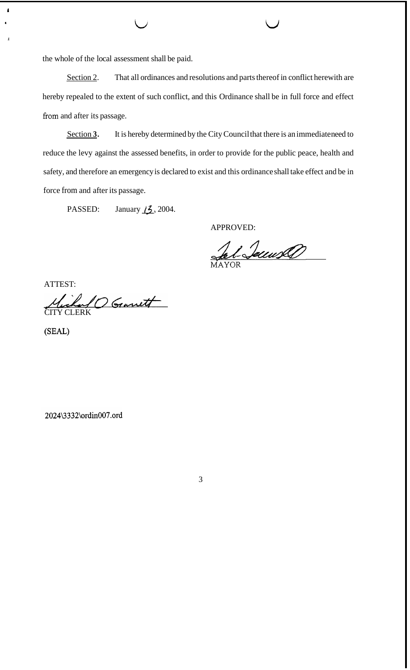the whole of the local assessment shall be paid.

**<sup>I</sup>**L/ LI

Section 2. That all ordinances and resolutions and parts thereof in conflict herewith are hereby repealed to the extent of such conflict, and this Ordinance shall be in full force and effect from and after its passage.

Section 3. It is hereby determined by the City Council that there is an immediate need to reduce the levy against the assessed benefits, in order to provide for the public peace, health and safety, and therefore an emergency is declared to exist and this ordinance shall take effect and be in force from and after its passage.

PASSED: January *f***<sub>2</sub>**, 2004.

APPROVED:

Jal-Secured

ATTEST:

**1** 

*1* 

Michael O Granett

(SEAL)

2024\3332\ordin007.ord

3